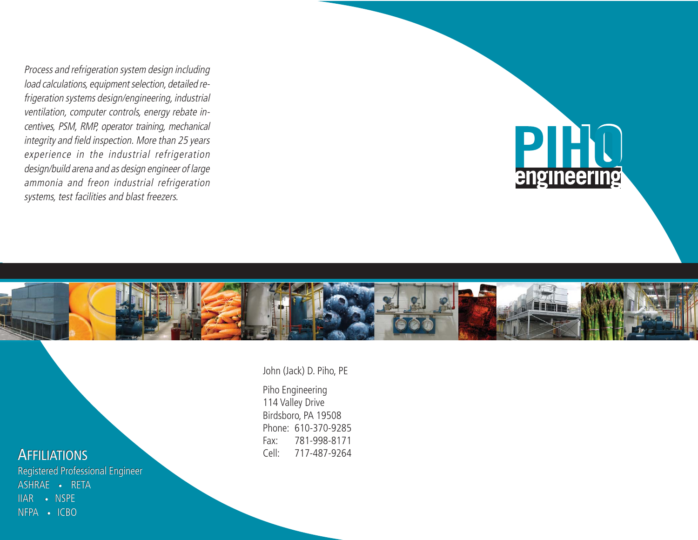Process and refrigeration system design including load calculations, equipment selection, detailed refrigeration systems design/engineering, industrial ventilation, computer controls, energy rebate incentives, PSM, RMP, operator training, mechanical integrity and field inspection. More than 25 years experience in the industrial refrigeration design/build arena and as design engineer of large ammonia and freon industrial refrigeration systems, test facilities and blast freezers.





## **AFFILIATIONS**

Registered Professional Engineer Registered Professional EngineerASHRAE•RETAIIAR ASHRAE • RETAIIAR • NSPE IIAR • NSPE<br>NFPA • ICBO

#### John (Jack) D. Piho, PE

Piho Engineering 114 Valley Drive Birdsboro, PA 19508 Phone: 610-370-9285Fax: 781-998-8171Cell: 717-487-9264